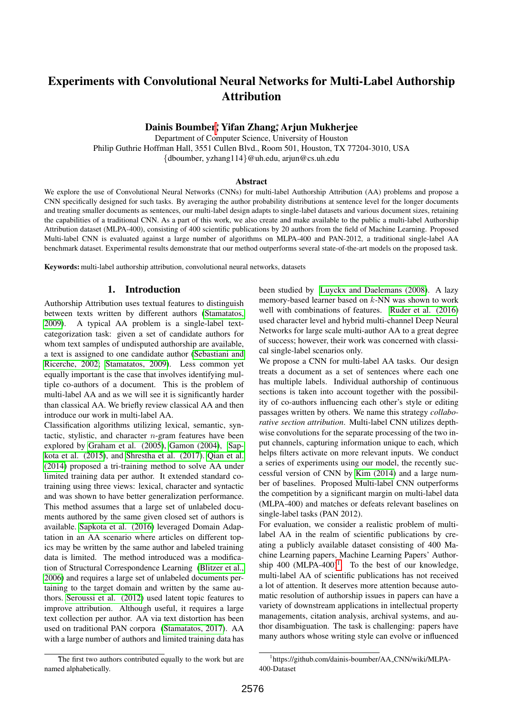# Experiments with Convolutional Neural Networks for Multi-Label Authorship Attribution

# Dainis Boumber, <mark>Yifan Zhang,\* Arjun Mukherje</mark>e

Department of Computer Science, University of Houston Philip Guthrie Hoffman Hall, 3551 Cullen Blvd., Room 501, Houston, TX 77204-3010, USA {dboumber, yzhang114}@uh.edu, arjun@cs.uh.edu

#### Abstract

We explore the use of Convolutional Neural Networks (CNNs) for multi-label Authorship Attribution (AA) problems and propose a CNN specifically designed for such tasks. By averaging the author probability distributions at sentence level for the longer documents and treating smaller documents as sentences, our multi-label design adapts to single-label datasets and various document sizes, retaining the capabilities of a traditional CNN. As a part of this work, we also create and make available to the public a multi-label Authorship Attribution dataset (MLPA-400), consisting of 400 scientific publications by 20 authors from the field of Machine Learning. Proposed Multi-label CNN is evaluated against a large number of algorithms on MLPA-400 and PAN-2012, a traditional single-label AA benchmark dataset. Experimental results demonstrate that our method outperforms several state-of-the-art models on the proposed task.

Keywords: multi-label authorship attribution, convolutional neural networks, datasets

## 1. Introduction

Authorship Attribution uses textual features to distinguish between texts written by different authors [\(Stamatatos,](#page-4-0) [2009\)](#page-4-0). A typical AA problem is a single-label textcategorization task: given a set of candidate authors for whom text samples of undisputed authorship are available, a text is assigned to one candidate author [\(Sebastiani and](#page-4-1) [Ricerche, 2002;](#page-4-1) [Stamatatos, 2009\)](#page-4-0). Less common yet equally important is the case that involves identifying multiple co-authors of a document. This is the problem of multi-label AA and as we will see it is significantly harder than classical AA. We briefly review classical AA and then introduce our work in multi-label AA.

Classification algorithms utilizing lexical, semantic, syntactic, stylistic, and character  $n$ -gram features have been explored by [Graham et al. \(2005\)](#page-4-2), [Gamon \(2004\)](#page-4-3), [Sap](#page-4-4)[kota et al. \(2015\)](#page-4-4), and [Shrestha et al. \(2017\)](#page-4-5). [Qian et al.](#page-4-6) [\(2014\)](#page-4-6) proposed a tri-training method to solve AA under limited training data per author. It extended standard cotraining using three views: lexical, character and syntactic and was shown to have better generalization performance. This method assumes that a large set of unlabeled documents authored by the same given closed set of authors is available. [Sapkota et al. \(2016\)](#page-4-7) leveraged Domain Adaptation in an AA scenario where articles on different topics may be written by the same author and labeled training data is limited. The method introduced was a modification of Structural Correspondence Learning [\(Blitzer et al.,](#page-4-8) [2006\)](#page-4-8) and requires a large set of unlabeled documents pertaining to the target domain and written by the same authors. [Seroussi et al. \(2012\)](#page-4-9) used latent topic features to improve attribution. Although useful, it requires a large text collection per author. AA via text distortion has been used on traditional PAN corpora [\(Stamatatos, 2017\)](#page-5-0). AA with a large number of authors and limited training data has been studied by [Luyckx and Daelemans \(2008\)](#page-4-10). A lazy memory-based learner based on k-NN was shown to work well with combinations of features. [Ruder et al. \(2016\)](#page-4-11) used character level and hybrid multi-channel Deep Neural Networks for large scale multi-author AA to a great degree of success; however, their work was concerned with classical single-label scenarios only.

We propose a CNN for multi-label AA tasks. Our design treats a document as a set of sentences where each one has multiple labels. Individual authorship of continuous sections is taken into account together with the possibility of co-authors influencing each other's style or editing passages written by others. We name this strategy *collaborative section attribution*. Multi-label CNN utilizes depthwise convolutions for the separate processing of the two input channels, capturing information unique to each, which helps filters activate on more relevant inputs. We conduct a series of experiments using our model, the recently successful version of CNN by [Kim \(2014\)](#page-4-12) and a large number of baselines. Proposed Multi-label CNN outperforms the competition by a significant margin on multi-label data (MLPA-400) and matches or defeats relevant baselines on single-label tasks (PAN 2012).

For evaluation, we consider a realistic problem of multilabel AA in the realm of scientific publications by creating a publicly available dataset consisting of 400 Machine Learning papers, Machine Learning Papers' Authorship  $400$  (MLPA- $400$ )<sup>[1](#page-0-0)</sup>. To the best of our knowledge, multi-label AA of scientific publications has not received a lot of attention. It deserves more attention because automatic resolution of authorship issues in papers can have a variety of downstream applications in intellectual property managements, citation analysis, archival systems, and author disambiguation. The task is challenging: papers have many authors whose writing style can evolve or influenced

The first two authors contributed equally to the work but are named alphabetically.

<span id="page-0-0"></span><sup>1</sup> https://github.com/dainis-boumber/AA CNN/wiki/MLPA-400-Dataset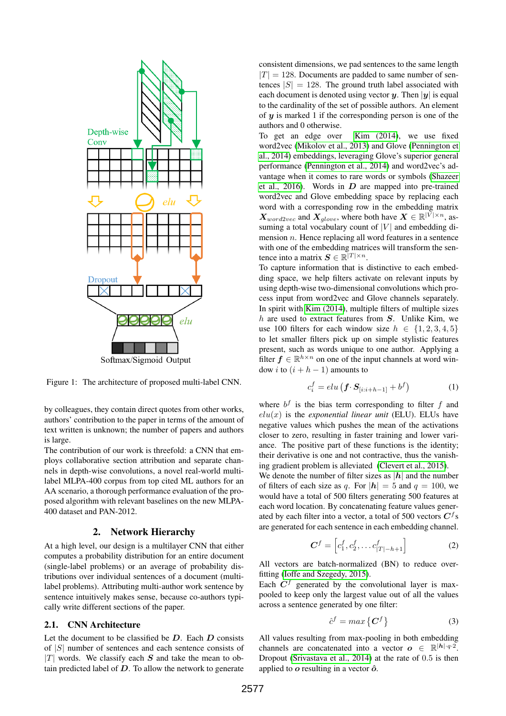

Figure 1: The architecture of proposed multi-label CNN.

by colleagues, they contain direct quotes from other works, authors' contribution to the paper in terms of the amount of text written is unknown; the number of papers and authors is large.

The contribution of our work is threefold: a CNN that employs collaborative section attribution and separate channels in depth-wise convolutions, a novel real-world multilabel MLPA-400 corpus from top cited ML authors for an AA scenario, a thorough performance evaluation of the proposed algorithm with relevant baselines on the new MLPA-400 dataset and PAN-2012.

#### 2. Network Hierarchy

At a high level, our design is a multilayer CNN that either computes a probability distribution for an entire document (single-label problems) or an average of probability distributions over individual sentences of a document (multilabel problems). Attributing multi-author work sentence by sentence intuitively makes sense, because co-authors typically write different sections of the paper.

#### 2.1. CNN Architecture

Let the document to be classified be  $D$ . Each  $D$  consists of  $|S|$  number of sentences and each sentence consists of  $|T|$  words. We classify each S and take the mean to obtain predicted label of  $D$ . To allow the network to generate

consistent dimensions, we pad sentences to the same length  $|T| = 128$ . Documents are padded to same number of sentences  $|S| = 128$ . The ground truth label associated with each document is denoted using vector y. Then  $|y|$  is equal to the cardinality of the set of possible authors. An element of  $y$  is marked 1 if the corresponding person is one of the authors and 0 otherwise.

To get an edge over [Kim \(2014\)](#page-4-12), we use fixed word2vec [\(Mikolov et al., 2013\)](#page-4-13) and Glove [\(Pennington et](#page-4-14) [al., 2014\)](#page-4-14) embeddings, leveraging Glove's superior general performance [\(Pennington et al., 2014\)](#page-4-14) and word2vec's advantage when it comes to rare words or symbols [\(Shazeer](#page-4-15) [et al., 2016\)](#page-4-15). Words in  $D$  are mapped into pre-trained word2vec and Glove embedding space by replacing each word with a corresponding row in the embedding matrix  $\boldsymbol{X}_{word2vec}$  and  $\boldsymbol{X}_{glove}$ , where both have  $\boldsymbol{X} \in \mathbb{R}^{|\tilde{V}| \times n}$ , assuming a total vocabulary count of  $|V|$  and embedding dimension  $n$ . Hence replacing all word features in a sentence with one of the embedding matrices will transform the sentence into a matrix  $S \in \mathbb{R}^{|T| \times n}$ .

To capture information that is distinctive to each embedding space, we help filters activate on relevant inputs by using depth-wise two-dimensional convolutions which process input from word2vec and Glove channels separately. In spirit with [Kim \(2014\)](#page-4-12), multiple filters of multiple sizes  $h$  are used to extract features from  $S$ . Unlike Kim, we use 100 filters for each window size  $h \in \{1, 2, 3, 4, 5\}$ to let smaller filters pick up on simple stylistic features present, such as words unique to one author. Applying a filter  $f \in \mathbb{R}^{h \times n}$  on one of the input channels at word window *i* to  $(i + h - 1)$  amounts to

$$
c_i^f = elu\left(\boldsymbol{f} \cdot \boldsymbol{S}_{[i:i+h-1]} + b^f\right) \tag{1}
$$

where  $b^f$  is the bias term corresponding to filter f and  $elu(x)$  is the *exponential linear unit* (ELU). ELUs have negative values which pushes the mean of the activations closer to zero, resulting in faster training and lower variance. The positive part of these functions is the identity; their derivative is one and not contractive, thus the vanishing gradient problem is alleviated [\(Clevert et al., 2015\)](#page-4-16).

We denote the number of filter sizes as  $|h|$  and the number of filters of each size as q. For  $|h| = 5$  and  $q = 100$ , we would have a total of 500 filters generating 500 features at each word location. By concatenating feature values generated by each filter into a vector, a total of 500 vectors  $C<sup>f</sup>$ s are generated for each sentence in each embedding channel.

$$
\mathbf{C}^f = \left[ c_1^f, c_2^f, \dots c_{|T|-h+1}^f \right] \tag{2}
$$

All vectors are batch-normalized (BN) to reduce overfitting [\(Ioffe and Szegedy, 2015\)](#page-4-17).

Each  $C<sup>f</sup>$  generated by the convolutional layer is maxpooled to keep only the largest value out of all the values across a sentence generated by one filter:

$$
\hat{c}^f = \max \left\{ \mathbf{C}^f \right\} \tag{3}
$$

All values resulting from max-pooling in both embedding channels are concatenated into a vector  $\mathbf{o} \in \mathbb{R}^{|\mathbf{h}|\cdot q \cdot 2}$ . Dropout [\(Srivastava et al., 2014\)](#page-4-18) at the rate of 0.5 is then applied to  $\boldsymbol{o}$  resulting in a vector  $\boldsymbol{\hat{o}}$ .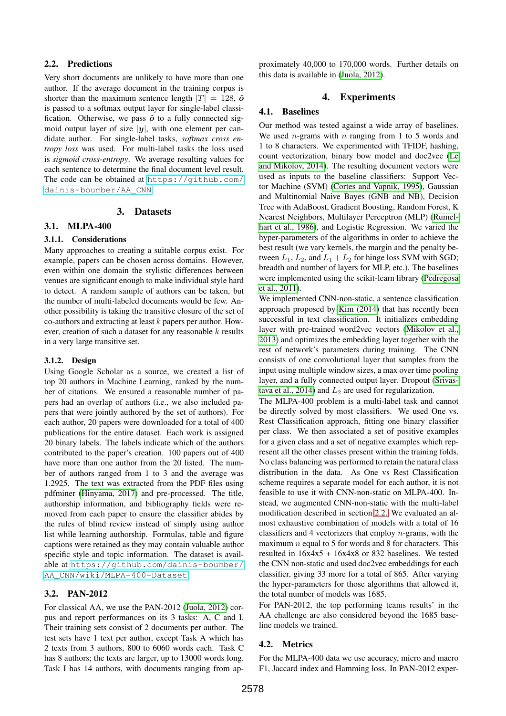## <span id="page-2-0"></span>2.2. Predictions

Very short documents are unlikely to have more than one author. If the average document in the training corpus is shorter than the maximum sentence length  $|T| = 128$ ,  $\hat{\boldsymbol{o}}$ is passed to a softmax output layer for single-label classification. Otherwise, we pass  $\hat{o}$  to a fully connected sigmoid output layer of size  $|y|$ , with one element per candidate author. For single-label tasks, *softmax cross entropy loss* was used. For multi-label tasks the loss used is *sigmoid cross-entropy*. We average resulting values for each sentence to determine the final document level result. The code can be obtained at [https://github.com/](https://github.com/dainis-boumber/AA_CNN) [dainis-boumber/AA\\_CNN](https://github.com/dainis-boumber/AA_CNN)

#### 3. Datasets

## 3.1. MLPA-400

#### 3.1.1. Considerations

Many approaches to creating a suitable corpus exist. For example, papers can be chosen across domains. However, even within one domain the stylistic differences between venues are significant enough to make individual style hard to detect. A random sample of authors can be taken, but the number of multi-labeled documents would be few. Another possibility is taking the transitive closure of the set of co-authors and extracting at least  $k$  papers per author. However, creation of such a dataset for any reasonable  $k$  results in a very large transitive set.

#### 3.1.2. Design

Using Google Scholar as a source, we created a list of top 20 authors in Machine Learning, ranked by the number of citations. We ensured a reasonable number of papers had an overlap of authors (i.e., we also included papers that were jointly authored by the set of authors). For each author, 20 papers were downloaded for a total of 400 publications for the entire dataset. Each work is assigned 20 binary labels. The labels indicate which of the authors contributed to the paper's creation. 100 papers out of 400 have more than one author from the 20 listed. The number of authors ranged from 1 to 3 and the average was 1.2925. The text was extracted from the PDF files using pdfminer [\(Hinyama, 2017\)](#page-4-19) and pre-processed. The title, authorship information, and bibliography fields were removed from each paper to ensure the classifier abides by the rules of blind review instead of simply using author list while learning authorship. Formulas, table and figure captions were retained as they may contain valuable author specific style and topic information. The dataset is available at [https://github.com/dainis-boumber/](https://github.com/dainis-boumber/AA_CNN/wiki/MLPA-400-Dataset) [AA\\_CNN/wiki/MLPA-400-Dataset](https://github.com/dainis-boumber/AA_CNN/wiki/MLPA-400-Dataset)

# 3.2. PAN-2012

For classical AA, we use the PAN-2012 [\(Juola, 2012\)](#page-4-20) corpus and report performances on its 3 tasks: A, C and I. Their training sets consist of 2 documents per author. The test sets have 1 text per author, except Task A which has 2 texts from 3 authors, 800 to 6060 words each. Task C has 8 authors; the texts are larger, up to 13000 words long. Task I has 14 authors, with documents ranging from approximately 40,000 to 170,000 words. Further details on this data is available in [\(Juola, 2012\)](#page-4-20).

## 4. Experiments

#### 4.1. Baselines

Our method was tested against a wide array of baselines. We used *n*-grams with *n* ranging from 1 to 5 words and 1 to 8 characters. We experimented with TFIDF, hashing, count vectorization, binary bow model and doc2vec [\(Le](#page-4-21) [and Mikolov, 2014\)](#page-4-21). The resulting document vectors were used as inputs to the baseline classifiers: Support Vector Machine (SVM) [\(Cortes and Vapnik, 1995\)](#page-4-22), Gaussian and Multinomial Naive Bayes (GNB and NB), Decision Tree with AdaBoost, Gradient Boosting, Random Forest, K Nearest Neighbors, Multilayer Perceptron (MLP) [\(Rumel](#page-4-23)[hart et al., 1986\)](#page-4-23), and Logistic Regression. We varied the hyper-parameters of the algorithms in order to achieve the best result (we vary kernels, the margin and the penalty between  $L_1$ ,  $L_2$ , and  $L_1 + L_2$  for hinge loss SVM with SGD; breadth and number of layers for MLP, etc.). The baselines were implemented using the scikit-learn library [\(Pedregosa](#page-4-24) [et al., 2011\)](#page-4-24).

We implemented CNN-non-static, a sentence classification approach proposed by [Kim \(2014\)](#page-4-12) that has recently been successful in text classification. It initializes embedding layer with pre-trained word2vec vectors [\(Mikolov et al.,](#page-4-13) [2013\)](#page-4-13) and optimizes the embedding layer together with the rest of network's parameters during training. The CNN consists of one convolutional layer that samples from the input using multiple window sizes, a max over time pooling layer, and a fully connected output layer. Dropout [\(Srivas](#page-4-18)[tava et al., 2014\)](#page-4-18) and  $L_2$  are used for regularization.

The MLPA-400 problem is a multi-label task and cannot be directly solved by most classifiers. We used One vs. Rest Classification approach, fitting one binary classifier per class. We then associated a set of positive examples for a given class and a set of negative examples which represent all the other classes present within the training folds. No class balancing was performed to retain the natural class distribution in the data. As One vs Rest Classification scheme requires a separate model for each author, it is not feasible to use it with CNN-non-static on MLPA-400. Instead, we augmented CNN-non-static with the multi-label modification described in section [2.2.](#page-2-0) We evaluated an almost exhaustive combination of models with a total of 16 classifiers and 4 vectorizers that employ  $n$ -grams, with the maximum  $n$  equal to 5 for words and 8 for characters. This resulted in 16x4x5 + 16x4x8 or 832 baselines. We tested the CNN non-static and used doc2vec embeddings for each classifier, giving 33 more for a total of 865. After varying the hyper-parameters for those algorithms that allowed it, the total number of models was 1685.

For PAN-2012, the top performing teams results' in the AA challenge are also considered beyond the 1685 baseline models we trained.

## 4.2. Metrics

For the MLPA-400 data we use accuracy, micro and macro F1, Jaccard index and Hamming loss. In PAN-2012 exper-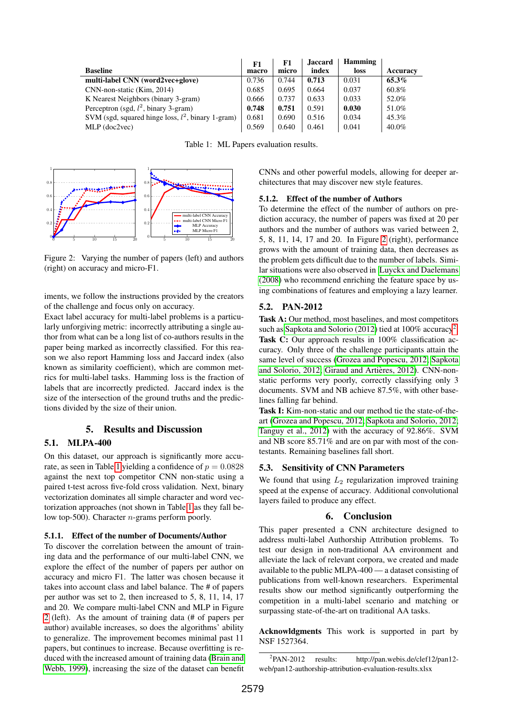|                                                      | F1    | F1    | <b>Jaccard</b> | <b>Hamming</b> |          |
|------------------------------------------------------|-------|-------|----------------|----------------|----------|
| <b>Baseline</b>                                      | macro | micro | index          | loss           | Accuracy |
| multi-label CNN (word2vec+glove)                     | 0.736 | 0.744 | 0.713          | 0.031          | 65.3%    |
| CNN-non-static (Kim, 2014)                           | 0.685 | 0.695 | 0.664          | 0.037          | 60.8%    |
| K Nearest Neighbors (binary 3-gram)                  | 0.666 | 0.737 | 0.633          | 0.033          | 52.0%    |
| Perceptron (sgd, $l^2$ , binary 3-gram)              | 0.748 | 0.751 | 0.591          | 0.030          | 51.0%    |
| SVM (sgd, squared hinge loss, $l^2$ , binary 1-gram) | 0.681 | 0.690 | 0.516          | 0.034          | 45.3%    |
| $MLP$ (doc2vec)                                      | 0.569 | 0.640 | 0.461          | 0.041          | 40.0%    |

<span id="page-3-0"></span>Table 1: ML Papers evaluation results.



<span id="page-3-1"></span>Figure 2: Varying the number of papers (left) and authors (right) on accuracy and micro-F1.

iments, we follow the instructions provided by the creators of the challenge and focus only on accuracy.

Exact label accuracy for multi-label problems is a particularly unforgiving metric: incorrectly attributing a single author from what can be a long list of co-authors results in the paper being marked as incorrectly classified. For this reason we also report Hamming loss and Jaccard index (also known as similarity coefficient), which are common metrics for multi-label tasks. Hamming loss is the fraction of labels that are incorrectly predicted. Jaccard index is the size of the intersection of the ground truths and the predictions divided by the size of their union.

# 5. Results and Discussion

## 5.1. MLPA-400

On this dataset, our approach is significantly more accu-rate, as seen in Table [1](#page-3-0) yielding a confidence of  $p = 0.0828$ against the next top competitor CNN non-static using a paired t-test across five-fold cross validation. Next, binary vectorization dominates all simple character and word vectorization approaches (not shown in Table [1](#page-3-0) as they fall below top-500). Character  $n$ -grams perform poorly.

## 5.1.1. Effect of the number of Documents/Author

To discover the correlation between the amount of training data and the performance of our multi-label CNN, we explore the effect of the number of papers per author on accuracy and micro F1. The latter was chosen because it takes into account class and label balance. The # of papers per author was set to 2, then increased to 5, 8, 11, 14, 17 and 20. We compare multi-label CNN and MLP in Figure [2](#page-3-1) (left). As the amount of training data (# of papers per author) available increases, so does the algorithms' ability to generalize. The improvement becomes minimal past 11 papers, but continues to increase. Because overfitting is reduced with the increased amount of training data [\(Brain and](#page-4-25) [Webb, 1999\)](#page-4-25), increasing the size of the dataset can benefit

CNNs and other powerful models, allowing for deeper architectures that may discover new style features.

#### 5.1.2. Effect of the number of Authors

To determine the effect of the number of authors on prediction accuracy, the number of papers was fixed at 20 per authors and the number of authors was varied between 2, 5, 8, 11, 14, 17 and 20. In Figure [2](#page-3-1) (right), performance grows with the amount of training data, then decreases as the problem gets difficult due to the number of labels. Similar situations were also observed in [Luyckx and Daelemans](#page-4-10) [\(2008\)](#page-4-10) who recommend enriching the feature space by using combinations of features and employing a lazy learner.

#### 5.2. PAN-2012

Task A: Our method, most baselines, and most competitors such as [Sapkota and Solorio \(2012\)](#page-4-26) tied at  $100\%$  accuracy<sup>[2](#page-3-2)</sup>. Task C: Our approach results in 100% classification accuracy. Only three of the challenge participants attain the same level of success [\(Grozea and Popescu, 2012;](#page-4-27) [Sapkota](#page-4-26) [and Solorio, 2012;](#page-4-26) Giraud and Artières, 2012). CNN-nonstatic performs very poorly, correctly classifying only 3 documents. SVM and NB achieve 87.5%, with other baselines falling far behind.

Task I: Kim-non-static and our method tie the state-of-theart [\(Grozea and Popescu, 2012;](#page-4-27) [Sapkota and Solorio, 2012;](#page-4-26) [Tanguy et al., 2012\)](#page-5-1) with the accuracy of 92.86%. SVM and NB score 85.71% and are on par with most of the contestants. Remaining baselines fall short.

#### 5.3. Sensitivity of CNN Parameters

We found that using  $L_2$  regularization improved training speed at the expense of accuracy. Additional convolutional layers failed to produce any effect.

## 6. Conclusion

This paper presented a CNN architecture designed to address multi-label Authorship Attribution problems. To test our design in non-traditional AA environment and alleviate the lack of relevant corpora, we created and made available to the public MLPA-400 — a dataset consisting of publications from well-known researchers. Experimental results show our method significantly outperforming the competition in a multi-label scenario and matching or surpassing state-of-the-art on traditional AA tasks.

Acknowldgments This work is supported in part by NSF 1527364.

<span id="page-3-2"></span> $^{2}$ PAN-2012 results: http://pan.webis.de/clef12/pan12web/pan12-authorship-attribution-evaluation-results.xlsx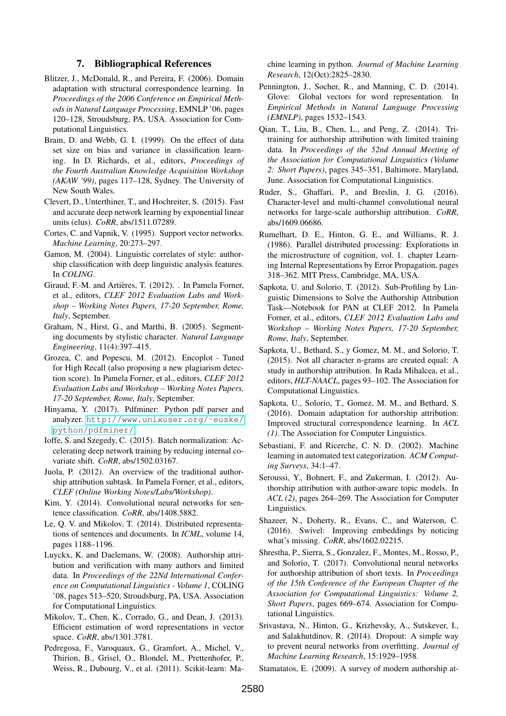## 7. Bibliographical References

- <span id="page-4-8"></span>Blitzer, J., McDonald, R., and Pereira, F. (2006). Domain adaptation with structural correspondence learning. In *Proceedings of the 2006 Conference on Empirical Methods in Natural Language Processing*, EMNLP '06, pages 120–128, Stroudsburg, PA, USA. Association for Computational Linguistics.
- <span id="page-4-25"></span>Brain, D. and Webb, G. I. (1999). On the effect of data set size on bias and variance in classification learning. In D. Richards, et al., editors, *Proceedings of the Fourth Australian Knowledge Acquisition Workshop (AKAW '99)*, pages 117–128, Sydney. The University of New South Wales.
- <span id="page-4-16"></span>Clevert, D., Unterthiner, T., and Hochreiter, S. (2015). Fast and accurate deep network learning by exponential linear units (elus). *CoRR*, abs/1511.07289.
- <span id="page-4-22"></span>Cortes, C. and Vapnik, V. (1995). Support vector networks. *Machine Learning*, 20:273–297.
- <span id="page-4-3"></span>Gamon, M. (2004). Linguistic correlates of style: authorship classification with deep linguistic analysis features. In *COLING*.
- <span id="page-4-28"></span>Giraud, F.-M. and Artières, T. (2012). . In Pamela Forner, et al., editors, *CLEF 2012 Evaluation Labs and Workshop – Working Notes Papers, 17-20 September, Rome, Italy*, September.
- <span id="page-4-2"></span>Graham, N., Hirst, G., and Marthi, B. (2005). Segmenting documents by stylistic character. *Natural Language Engineering*, 11(4):397–415.
- <span id="page-4-27"></span>Grozea, C. and Popescu, M. (2012). Encoplot - Tuned for High Recall (also proposing a new plagiarism detection score). In Pamela Forner, et al., editors, *CLEF 2012 Evaluation Labs and Workshop – Working Notes Papers, 17-20 September, Rome, Italy*, September.
- <span id="page-4-19"></span>Hinyama, Y. (2017). Pdfminer: Python pdf parser and analyzer. [http://www.unixuser.org/˜euske/](http://www.unixuser.org/~euske/python/pdfminer/) [python/pdfminer/](http://www.unixuser.org/~euske/python/pdfminer/).
- <span id="page-4-17"></span>Ioffe, S. and Szegedy, C. (2015). Batch normalization: Accelerating deep network training by reducing internal covariate shift. *CoRR*, abs/1502.03167.
- <span id="page-4-20"></span>Juola, P. (2012). An overview of the traditional authorship attribution subtask. In Pamela Forner, et al., editors, *CLEF (Online Working Notes/Labs/Workshop)*.
- <span id="page-4-12"></span>Kim, Y. (2014). Convolutional neural networks for sentence classification. *CoRR*, abs/1408.5882.
- <span id="page-4-21"></span>Le, Q. V. and Mikolov, T. (2014). Distributed representations of sentences and documents. In *ICML*, volume 14, pages 1188–1196.
- <span id="page-4-10"></span>Luyckx, K. and Daelemans, W. (2008). Authorship attribution and verification with many authors and limited data. In *Proceedings of the 22Nd International Conference on Computational Linguistics - Volume 1*, COLING '08, pages 513–520, Stroudsburg, PA, USA. Association for Computational Linguistics.
- <span id="page-4-13"></span>Mikolov, T., Chen, K., Corrado, G., and Dean, J. (2013). Efficient estimation of word representations in vector space. *CoRR*, abs/1301.3781.
- <span id="page-4-24"></span>Pedregosa, F., Varoquaux, G., Gramfort, A., Michel, V., Thirion, B., Grisel, O., Blondel, M., Prettenhofer, P., Weiss, R., Dubourg, V., et al. (2011). Scikit-learn: Ma-

chine learning in python. *Journal of Machine Learning Research*, 12(Oct):2825–2830.

- <span id="page-4-14"></span>Pennington, J., Socher, R., and Manning, C. D. (2014). Glove: Global vectors for word representation. In *Empirical Methods in Natural Language Processing (EMNLP)*, pages 1532–1543.
- <span id="page-4-6"></span>Qian, T., Liu, B., Chen, L., and Peng, Z. (2014). Tritraining for authorship attribution with limited training data. In *Proceedings of the 52nd Annual Meeting of the Association for Computational Linguistics (Volume 2: Short Papers)*, pages 345–351, Baltimore, Maryland, June. Association for Computational Linguistics.
- <span id="page-4-11"></span>Ruder, S., Ghaffari, P., and Breslin, J. G. (2016). Character-level and multi-channel convolutional neural networks for large-scale authorship attribution. *CoRR*, abs/1609.06686.
- <span id="page-4-23"></span>Rumelhart, D. E., Hinton, G. E., and Williams, R. J. (1986). Parallel distributed processing: Explorations in the microstructure of cognition, vol. 1. chapter Learning Internal Representations by Error Propagation, pages 318–362. MIT Press, Cambridge, MA, USA.
- <span id="page-4-26"></span>Sapkota, U. and Solorio, T. (2012). Sub-Profiling by Linguistic Dimensions to Solve the Authorship Attribution Task—Notebook for PAN at CLEF 2012. In Pamela Forner, et al., editors, *CLEF 2012 Evaluation Labs and Workshop – Working Notes Papers, 17-20 September, Rome, Italy*, September.
- <span id="page-4-4"></span>Sapkota, U., Bethard, S., y Gomez, M. M., and Solorio, T. (2015). Not all character n-grams are created equal: A study in authorship attribution. In Rada Mihalcea, et al., editors, *HLT-NAACL*, pages 93–102. The Association for Computational Linguistics.
- <span id="page-4-7"></span>Sapkota, U., Solorio, T., Gomez, M. M., and Bethard, S. (2016). Domain adaptation for authorship attribution: Improved structural correspondence learning. In *ACL (1)*. The Association for Computer Linguistics.
- <span id="page-4-1"></span>Sebastiani, F. and Ricerche, C. N. D. (2002). Machine learning in automated text categorization. *ACM Computing Surveys*, 34:1–47.
- <span id="page-4-9"></span>Seroussi, Y., Bohnert, F., and Zukerman, I. (2012). Authorship attribution with author-aware topic models. In *ACL (2)*, pages 264–269. The Association for Computer Linguistics.
- <span id="page-4-15"></span>Shazeer, N., Doherty, R., Evans, C., and Waterson, C. (2016). Swivel: Improving embeddings by noticing what's missing. *CoRR*, abs/1602.02215.
- <span id="page-4-5"></span>Shrestha, P., Sierra, S., Gonzalez, F., Montes, M., Rosso, P., and Solorio, T. (2017). Convolutional neural networks for authorship attribution of short texts. In *Proceedings of the 15th Conference of the European Chapter of the Association for Computational Linguistics: Volume 2, Short Papers*, pages 669–674. Association for Computational Linguistics.
- <span id="page-4-18"></span>Srivastava, N., Hinton, G., Krizhevsky, A., Sutskever, I., and Salakhutdinov, R. (2014). Dropout: A simple way to prevent neural networks from overfitting. *Journal of Machine Learning Research*, 15:1929–1958.

<span id="page-4-0"></span>Stamatatos, E. (2009). A survey of modern authorship at-